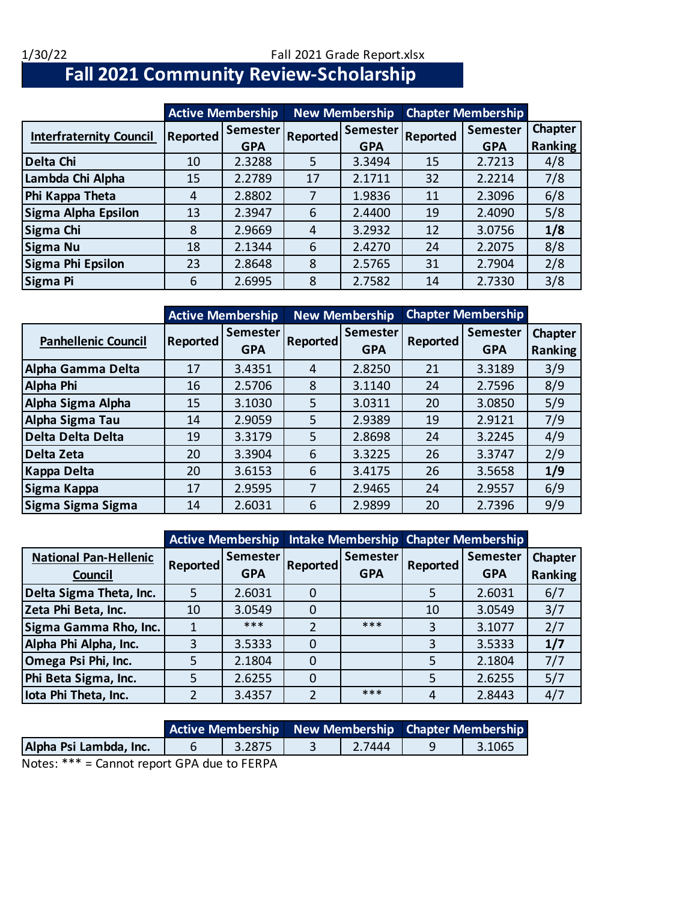## **Fall 2021 Community Review-Scholarship**

|                                |                 | <b>Active Membership</b> |                 | <b>New Membership</b>  | <b>Chapter Membership</b> |                               |                           |
|--------------------------------|-----------------|--------------------------|-----------------|------------------------|---------------------------|-------------------------------|---------------------------|
| <b>Interfraternity Council</b> | <b>Reported</b> | Semester<br><b>GPA</b>   | <b>Reported</b> | Semester<br><b>GPA</b> | Reported                  | <b>Semester</b><br><b>GPA</b> | <b>Chapter</b><br>Ranking |
| Delta Chi                      | 10              | 2.3288                   | 5               | 3.3494                 | 15                        | 2.7213                        | 4/8                       |
| Lambda Chi Alpha               | 15              | 2.2789                   | 17              | 2.1711                 | 32                        | 2.2214                        | 7/8                       |
| Phi Kappa Theta                | 4               | 2.8802                   |                 | 1.9836                 | 11                        | 2.3096                        | 6/8                       |
| Sigma Alpha Epsilon            | 13              | 2.3947                   | 6               | 2.4400                 | 19                        | 2.4090                        | 5/8                       |
| Sigma Chi                      | 8               | 2.9669                   | $\overline{4}$  | 3.2932                 | 12                        | 3.0756                        | 1/8                       |
| Sigma Nu                       | 18              | 2.1344                   | 6               | 2.4270                 | 24                        | 2.2075                        | 8/8                       |
| Sigma Phi Epsilon              | 23              | 2.8648                   | 8               | 2.5765                 | 31                        | 2.7904                        | 2/8                       |
| Sigma Pi                       | 6               | 2.6995                   | 8               | 2.7582                 | 14                        | 2.7330                        | 3/8                       |

|                            |          | <b>Active Membership</b>      |                 | <b>New Membership</b>         | <b>Chapter Membership</b> |                               |                                  |
|----------------------------|----------|-------------------------------|-----------------|-------------------------------|---------------------------|-------------------------------|----------------------------------|
| <b>Panhellenic Council</b> | Reported | <b>Semester</b><br><b>GPA</b> | <b>Reported</b> | <b>Semester</b><br><b>GPA</b> | Reported                  | <b>Semester</b><br><b>GPA</b> | <b>Chapter</b><br><b>Ranking</b> |
| Alpha Gamma Delta          | 17       | 3.4351                        | 4               | 2.8250                        | 21                        | 3.3189                        | 3/9                              |
| Alpha Phi                  | 16       | 2.5706                        | 8               | 3.1140                        | 24                        | 2.7596                        | 8/9                              |
| Alpha Sigma Alpha          | 15       | 3.1030                        | 5               | 3.0311                        | 20                        | 3.0850                        | 5/9                              |
| Alpha Sigma Tau            | 14       | 2.9059                        | 5               | 2.9389                        | 19                        | 2.9121                        | 7/9                              |
| Delta Delta Delta          | 19       | 3.3179                        | 5               | 2.8698                        | 24                        | 3.2245                        | 4/9                              |
| Delta Zeta                 | 20       | 3.3904                        | 6               | 3.3225                        | 26                        | 3.3747                        | 2/9                              |
| Kappa Delta                | 20       | 3.6153                        | 6               | 3.4175                        | 26                        | 3.5658                        | 1/9                              |
| Sigma Kappa                | 17       | 2.9595                        | 7               | 2.9465                        | 24                        | 2.9557                        | 6/9                              |
| Sigma Sigma Sigma          | 14       | 2.6031                        | 6               | 2.9899                        | 20                        | 2.7396                        | 9/9                              |

|                              |                                                                                                           |                 |         | <b>Active Membership Intake Membership Chapter Membership</b> |            |         |
|------------------------------|-----------------------------------------------------------------------------------------------------------|-----------------|---------|---------------------------------------------------------------|------------|---------|
| <b>National Pan-Hellenic</b> | <b>Semester</b><br><b>Semester</b><br>Reported<br><b>Reported</b><br>Reported<br><b>GPA</b><br><b>GPA</b> | <b>Semester</b> | Chapter |                                                               |            |         |
| Council                      |                                                                                                           |                 |         |                                                               | <b>GPA</b> | Ranking |
| Delta Sigma Theta, Inc.      | .5                                                                                                        | 2.6031          |         | 5                                                             | 2.6031     | 6/7     |
| Zeta Phi Beta, Inc.          | 10                                                                                                        | 3.0549          |         | 10                                                            | 3.0549     | 3/7     |
| Sigma Gamma Rho, Inc.        |                                                                                                           | ***             | $***$   | 3                                                             | 3.1077     | 2/7     |
| Alpha Phi Alpha, Inc.        | ς                                                                                                         | 3.5333          |         | ς                                                             | 3.5333     | 1/7     |
| Omega Psi Phi, Inc.          | 5                                                                                                         | 2.1804          |         | 5                                                             | 2.1804     | 7/7     |
| Phi Beta Sigma, Inc.         | 5                                                                                                         | 2.6255          |         | 5                                                             | 2.6255     | 5/7     |
| lota Phi Theta, Inc.         |                                                                                                           | 3.4357          | $***$   | 4                                                             | 2.8443     | 4/7     |

|                                 |        | Active Membership New Membership Chapter Membership |        |  |        |
|---------------------------------|--------|-----------------------------------------------------|--------|--|--------|
| Alpha Psi Lambda, Inc.          | 3.2875 |                                                     | 2.7444 |  | 3.1065 |
| استان المالك المساورة والمستحدث |        |                                                     |        |  |        |

Notes: \*\*\* = Cannot report GPA due to FERPA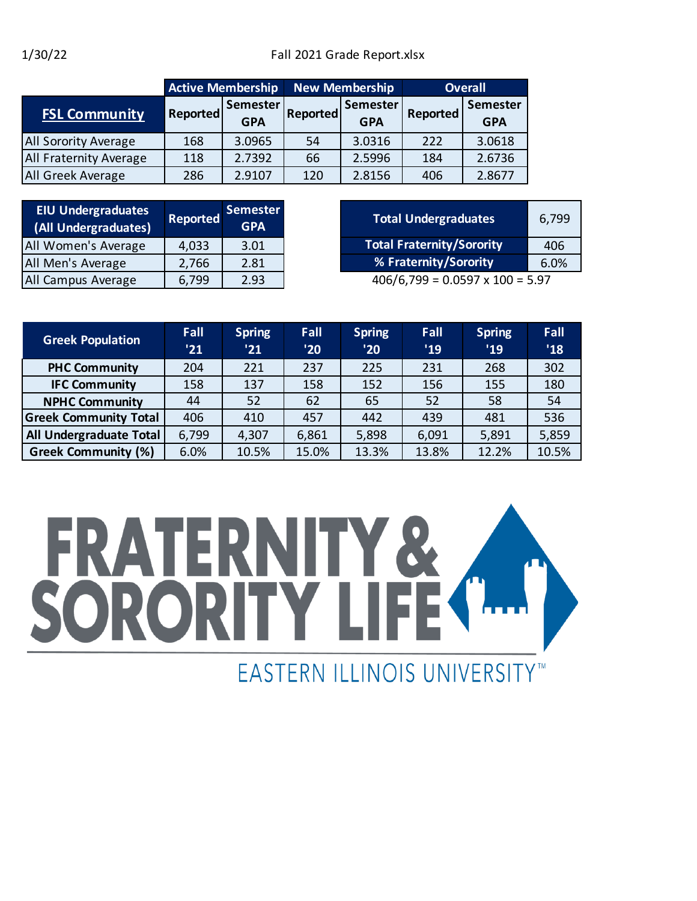## 1/30/22 Fall 2021 Grade Report.xlsx

|                               | <b>Active Membership</b><br><b>New Membership</b> |                               |                 | <b>Overall</b>                |          |                               |
|-------------------------------|---------------------------------------------------|-------------------------------|-----------------|-------------------------------|----------|-------------------------------|
| <b>FSL Community</b>          | <b>Reported</b>                                   | <b>Semester</b><br><b>GPA</b> | <b>Reported</b> | <b>Semester</b><br><b>GPA</b> | Reported | <b>Semester</b><br><b>GPA</b> |
| <b>All Sorority Average</b>   | 168                                               | 3.0965                        | 54              | 3.0316                        | 222      | 3.0618                        |
| <b>All Fraternity Average</b> | 118                                               | 2.7392                        | 66              | 2.5996                        | 184      | 2.6736                        |
| <b>All Greek Average</b>      | 286                                               | 2.9107                        | 120             | 2.8156                        | 406      | 2.8677                        |

| <b>EIU Undergraduates</b><br>(All Undergraduates) | Reported | <b>Semester</b><br><b>GPA</b> | <b>Total Undergraduates</b>            | 6,799 |
|---------------------------------------------------|----------|-------------------------------|----------------------------------------|-------|
| All Women's Average                               | 4,033    | 3.01                          | <b>Total Fraternity/Sorority</b>       | 406   |
| All Men's Average                                 | 2,766    | 2.81                          | % Fraternity/Sorority                  | 6.0%  |
| All Campus Average                                | 6,799    | 2.93                          | $406/6,799 = 0.0597 \times 100 = 5.97$ |       |

| mester<br>GPA. | <b>Total Undergraduates</b>            | 6,799 |
|----------------|----------------------------------------|-------|
| 3.01           | <b>Total Fraternity/Sorority</b>       | 406   |
| 2.81           | % Fraternity/Sorority                  | 6.0%  |
| 2.93           | $406/6,799 = 0.0597 \times 100 = 5.97$ |       |

| <b>Greek Population</b>      | Fall<br>'21 | <b>Spring</b><br>'21 | Fall<br>'20 | <b>Spring</b><br>'20 | Fall<br>'19 | <b>Spring</b><br>'19 | Fall<br>'18 |
|------------------------------|-------------|----------------------|-------------|----------------------|-------------|----------------------|-------------|
| <b>PHC Community</b>         | 204         | 221                  | 237         | 225                  | 231         | 268                  | 302         |
| <b>IFC Community</b>         | 158         | 137                  | 158         | 152                  | 156         | 155                  | 180         |
| <b>NPHC Community</b>        | 44          | 52                   | 62          | 65                   | 52          | 58                   | 54          |
| <b>Greek Community Total</b> | 406         | 410                  | 457         | 442                  | 439         | 481                  | 536         |
| All Undergraduate Total      | 6,799       | 4,307                | 6,861       | 5,898                | 6,091       | 5,891                | 5,859       |
| <b>Greek Community (%)</b>   | 6.0%        | 10.5%                | 15.0%       | 13.3%                | 13.8%       | 12.2%                | 10.5%       |